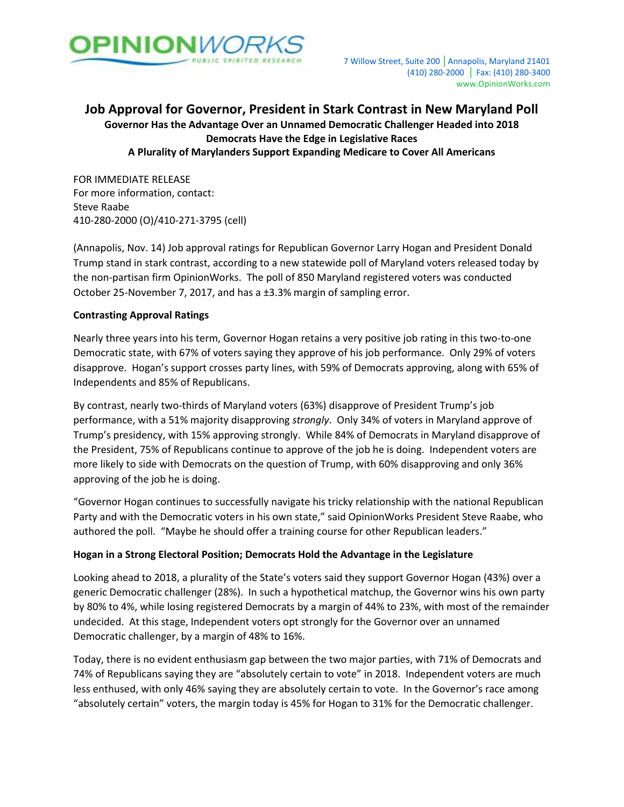

# **Job Approval for Governor, President in Stark Contrast in New Maryland Poll Governor Has the Advantage Over an Unnamed Democratic Challenger Headed into 2018 Democrats Have the Edge in Legislative Races A Plurality of Marylanders Support Expanding Medicare to Cover All Americans**

FOR IMMEDIATE RELEASE For more information, contact: Steve Raabe 410-280-2000 (O)/410-271-3795 (cell)

(Annapolis, Nov. 14) Job approval ratings for Republican Governor Larry Hogan and President Donald Trump stand in stark contrast, according to a new statewide poll of Maryland voters released today by the non-partisan firm OpinionWorks. The poll of 850 Maryland registered voters was conducted October 25-November 7, 2017, and has a ±3.3% margin of sampling error.

# **Contrasting Approval Ratings**

Nearly three years into his term, Governor Hogan retains a very positive job rating in this two-to-one Democratic state, with 67% of voters saying they approve of his job performance. Only 29% of voters disapprove. Hogan's support crosses party lines, with 59% of Democrats approving, along with 65% of Independents and 85% of Republicans.

By contrast, nearly two-thirds of Maryland voters (63%) disapprove of President Trump's job performance, with a 51% majority disapproving *strongly*. Only 34% of voters in Maryland approve of Trump's presidency, with 15% approving strongly. While 84% of Democrats in Maryland disapprove of the President, 75% of Republicans continue to approve of the job he is doing. Independent voters are more likely to side with Democrats on the question of Trump, with 60% disapproving and only 36% approving of the job he is doing.

"Governor Hogan continues to successfully navigate his tricky relationship with the national Republican Party and with the Democratic voters in his own state," said OpinionWorks President Steve Raabe, who authored the poll. "Maybe he should offer a training course for other Republican leaders."

#### **Hogan in a Strong Electoral Position; Democrats Hold the Advantage in the Legislature**

Looking ahead to 2018, a plurality of the State's voters said they support Governor Hogan (43%) over a generic Democratic challenger (28%). In such a hypothetical matchup, the Governor wins his own party by 80% to 4%, while losing registered Democrats by a margin of 44% to 23%, with most of the remainder undecided. At this stage, Independent voters opt strongly for the Governor over an unnamed Democratic challenger, by a margin of 48% to 16%.

Today, there is no evident enthusiasm gap between the two major parties, with 71% of Democrats and 74% of Republicans saying they are "absolutely certain to vote" in 2018. Independent voters are much less enthused, with only 46% saying they are absolutely certain to vote. In the Governor's race among "absolutely certain" voters, the margin today is 45% for Hogan to 31% for the Democratic challenger.